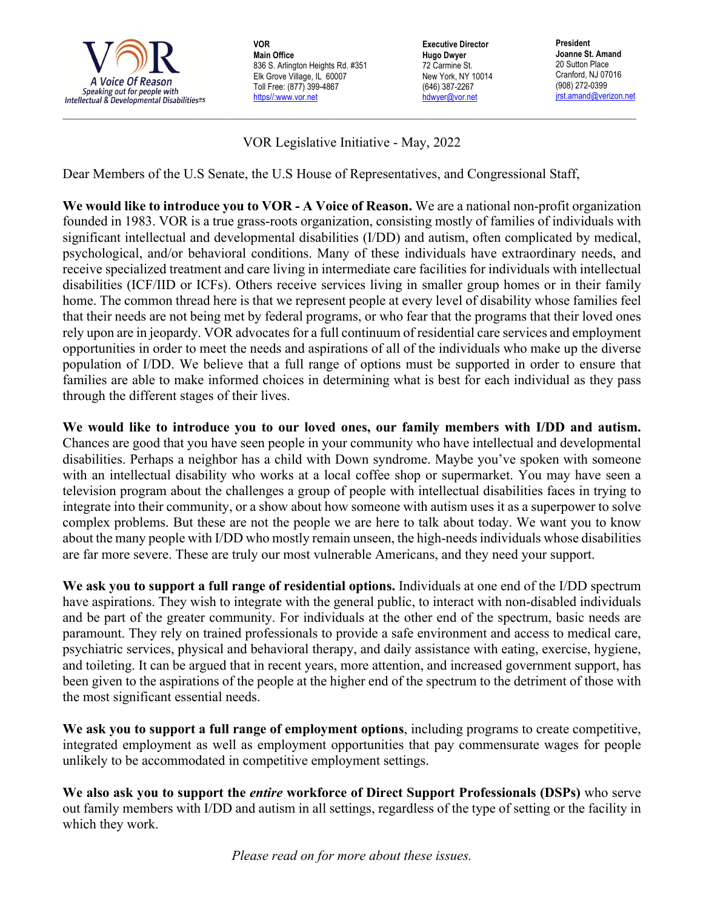

**VOR Main Office** 836 S. Arlington Heights Rd. #351 Elk Grove Village, IL 60007 Toll Free: (877) 399-4867 https//:www.vor.net

**Executive Director Hugo Dwyer** 72 Carmine St. New York, NY 10014 (646) 387-2267 hdwyer@vor.net

**President Joanne St. Amand** 20 Sutton Place Cranford, NJ 07016 (908) 272-0399 jrst.amand@verizon.net

VOR Legislative Initiative - May, 2022

 $\_$  , and the state of the state of the state of the state of the state of the state of the state of the state of the state of the state of the state of the state of the state of the state of the state of the state of the

Dear Members of the U.S Senate, the U.S House of Representatives, and Congressional Staff,

**We would like to introduce you to VOR - A Voice of Reason.** We are a national non-profit organization founded in 1983. VOR is a true grass-roots organization, consisting mostly of families of individuals with significant intellectual and developmental disabilities (I/DD) and autism, often complicated by medical, psychological, and/or behavioral conditions. Many of these individuals have extraordinary needs, and receive specialized treatment and care living in intermediate care facilities for individuals with intellectual disabilities (ICF/IID or ICFs). Others receive services living in smaller group homes or in their family home. The common thread here is that we represent people at every level of disability whose families feel that their needs are not being met by federal programs, or who fear that the programs that their loved ones rely upon are in jeopardy. VOR advocates for a full continuum of residential care services and employment opportunities in order to meet the needs and aspirations of all of the individuals who make up the diverse population of I/DD. We believe that a full range of options must be supported in order to ensure that families are able to make informed choices in determining what is best for each individual as they pass through the different stages of their lives.

**We would like to introduce you to our loved ones, our family members with I/DD and autism.**  Chances are good that you have seen people in your community who have intellectual and developmental disabilities. Perhaps a neighbor has a child with Down syndrome. Maybe you've spoken with someone with an intellectual disability who works at a local coffee shop or supermarket. You may have seen a television program about the challenges a group of people with intellectual disabilities faces in trying to integrate into their community, or a show about how someone with autism uses it as a superpower to solve complex problems. But these are not the people we are here to talk about today. We want you to know about the many people with I/DD who mostly remain unseen, the high-needs individuals whose disabilities are far more severe. These are truly our most vulnerable Americans, and they need your support.

**We ask you to support a full range of residential options.** Individuals at one end of the I/DD spectrum have aspirations. They wish to integrate with the general public, to interact with non-disabled individuals and be part of the greater community. For individuals at the other end of the spectrum, basic needs are paramount. They rely on trained professionals to provide a safe environment and access to medical care, psychiatric services, physical and behavioral therapy, and daily assistance with eating, exercise, hygiene, and toileting. It can be argued that in recent years, more attention, and increased government support, has been given to the aspirations of the people at the higher end of the spectrum to the detriment of those with the most significant essential needs.

**We ask you to support a full range of employment options**, including programs to create competitive, integrated employment as well as employment opportunities that pay commensurate wages for people unlikely to be accommodated in competitive employment settings.

**We also ask you to support the** *entire* **workforce of Direct Support Professionals (DSPs)** who serve out family members with I/DD and autism in all settings, regardless of the type of setting or the facility in which they work.

*Please read on for more about these issues.*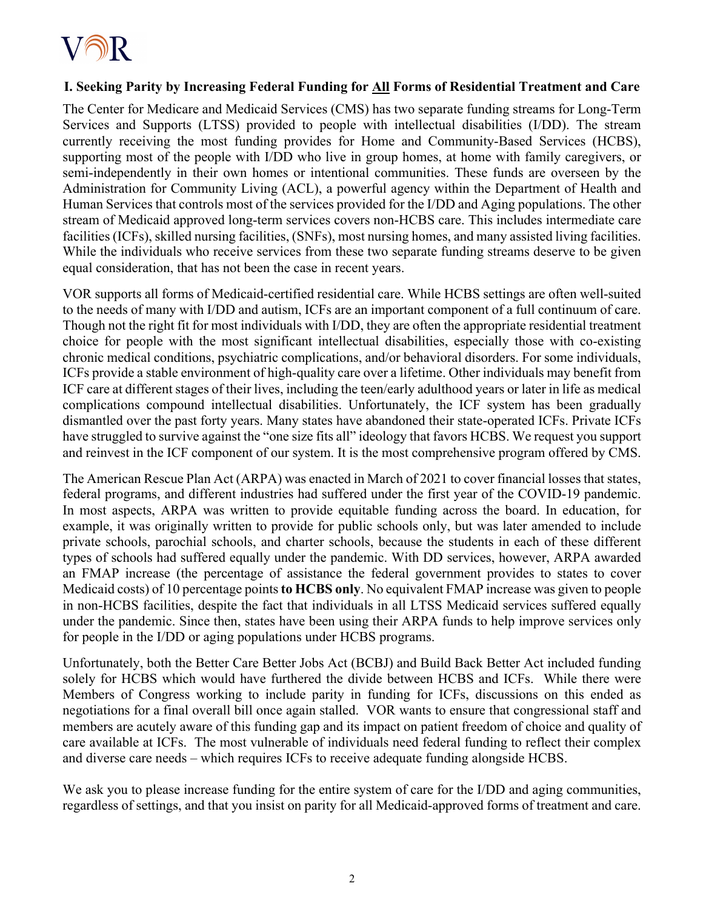

## **I. Seeking Parity by Increasing Federal Funding for All Forms of Residential Treatment and Care**

The Center for Medicare and Medicaid Services (CMS) has two separate funding streams for Long-Term Services and Supports (LTSS) provided to people with intellectual disabilities (I/DD). The stream currently receiving the most funding provides for Home and Community-Based Services (HCBS), supporting most of the people with I/DD who live in group homes, at home with family caregivers, or semi-independently in their own homes or intentional communities. These funds are overseen by the Administration for Community Living (ACL), a powerful agency within the Department of Health and Human Services that controls most of the services provided for the I/DD and Aging populations. The other stream of Medicaid approved long-term services covers non-HCBS care. This includes intermediate care facilities (ICFs), skilled nursing facilities, (SNFs), most nursing homes, and many assisted living facilities. While the individuals who receive services from these two separate funding streams deserve to be given equal consideration, that has not been the case in recent years.

VOR supports all forms of Medicaid-certified residential care. While HCBS settings are often well-suited to the needs of many with I/DD and autism, ICFs are an important component of a full continuum of care. Though not the right fit for most individuals with I/DD, they are often the appropriate residential treatment choice for people with the most significant intellectual disabilities, especially those with co-existing chronic medical conditions, psychiatric complications, and/or behavioral disorders. For some individuals, ICFs provide a stable environment of high-quality care over a lifetime. Other individuals may benefit from ICF care at different stages of their lives, including the teen/early adulthood years or later in life as medical complications compound intellectual disabilities. Unfortunately, the ICF system has been gradually dismantled over the past forty years. Many states have abandoned their state-operated ICFs. Private ICFs have struggled to survive against the "one size fits all" ideology that favors HCBS. We request you support and reinvest in the ICF component of our system. It is the most comprehensive program offered by CMS.

The American Rescue Plan Act (ARPA) was enacted in March of 2021 to cover financial losses that states, federal programs, and different industries had suffered under the first year of the COVID-19 pandemic. In most aspects, ARPA was written to provide equitable funding across the board. In education, for example, it was originally written to provide for public schools only, but was later amended to include private schools, parochial schools, and charter schools, because the students in each of these different types of schools had suffered equally under the pandemic. With DD services, however, ARPA awarded an FMAP increase (the percentage of assistance the federal government provides to states to cover Medicaid costs) of 10 percentage points **to HCBS only**. No equivalent FMAP increase was given to people in non-HCBS facilities, despite the fact that individuals in all LTSS Medicaid services suffered equally under the pandemic. Since then, states have been using their ARPA funds to help improve services only for people in the I/DD or aging populations under HCBS programs.

Unfortunately, both the Better Care Better Jobs Act (BCBJ) and Build Back Better Act included funding solely for HCBS which would have furthered the divide between HCBS and ICFs. While there were Members of Congress working to include parity in funding for ICFs, discussions on this ended as negotiations for a final overall bill once again stalled. VOR wants to ensure that congressional staff and members are acutely aware of this funding gap and its impact on patient freedom of choice and quality of care available at ICFs. The most vulnerable of individuals need federal funding to reflect their complex and diverse care needs – which requires ICFs to receive adequate funding alongside HCBS.

We ask you to please increase funding for the entire system of care for the I/DD and aging communities, regardless of settings, and that you insist on parity for all Medicaid-approved forms of treatment and care.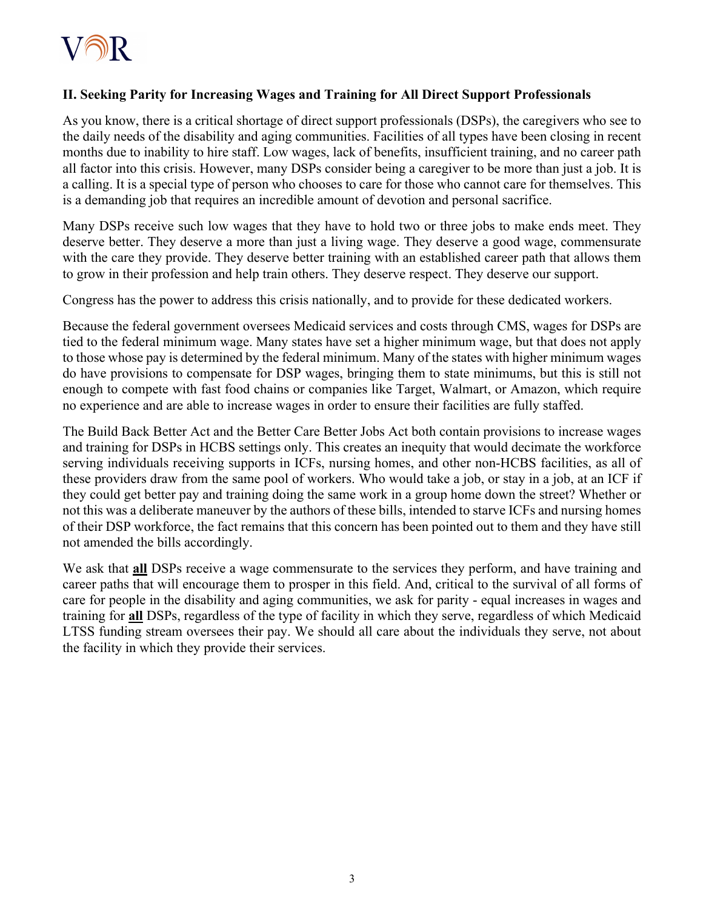## **II. Seeking Parity for Increasing Wages and Training for All Direct Support Professionals**

As you know, there is a critical shortage of direct support professionals (DSPs), the caregivers who see to the daily needs of the disability and aging communities. Facilities of all types have been closing in recent months due to inability to hire staff. Low wages, lack of benefits, insufficient training, and no career path all factor into this crisis. However, many DSPs consider being a caregiver to be more than just a job. It is a calling. It is a special type of person who chooses to care for those who cannot care for themselves. This is a demanding job that requires an incredible amount of devotion and personal sacrifice.

Many DSPs receive such low wages that they have to hold two or three jobs to make ends meet. They deserve better. They deserve a more than just a living wage. They deserve a good wage, commensurate with the care they provide. They deserve better training with an established career path that allows them to grow in their profession and help train others. They deserve respect. They deserve our support.

Congress has the power to address this crisis nationally, and to provide for these dedicated workers.

Because the federal government oversees Medicaid services and costs through CMS, wages for DSPs are tied to the federal minimum wage. Many states have set a higher minimum wage, but that does not apply to those whose pay is determined by the federal minimum. Many of the states with higher minimum wages do have provisions to compensate for DSP wages, bringing them to state minimums, but this is still not enough to compete with fast food chains or companies like Target, Walmart, or Amazon, which require no experience and are able to increase wages in order to ensure their facilities are fully staffed.

The Build Back Better Act and the Better Care Better Jobs Act both contain provisions to increase wages and training for DSPs in HCBS settings only. This creates an inequity that would decimate the workforce serving individuals receiving supports in ICFs, nursing homes, and other non-HCBS facilities, as all of these providers draw from the same pool of workers. Who would take a job, or stay in a job, at an ICF if they could get better pay and training doing the same work in a group home down the street? Whether or not this was a deliberate maneuver by the authors of these bills, intended to starve ICFs and nursing homes of their DSP workforce, the fact remains that this concern has been pointed out to them and they have still not amended the bills accordingly.

We ask that **all** DSPs receive a wage commensurate to the services they perform, and have training and career paths that will encourage them to prosper in this field. And, critical to the survival of all forms of care for people in the disability and aging communities, we ask for parity - equal increases in wages and training for **all** DSPs, regardless of the type of facility in which they serve, regardless of which Medicaid LTSS funding stream oversees their pay. We should all care about the individuals they serve, not about the facility in which they provide their services.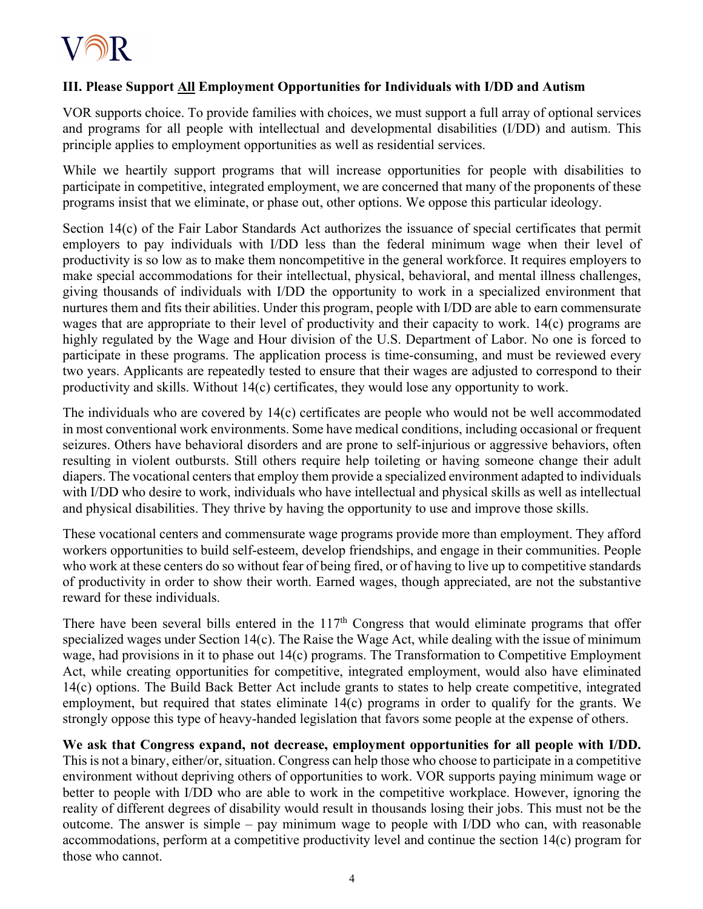

## **III. Please Support All Employment Opportunities for Individuals with I/DD and Autism**

VOR supports choice. To provide families with choices, we must support a full array of optional services and programs for all people with intellectual and developmental disabilities (I/DD) and autism. This principle applies to employment opportunities as well as residential services.

While we heartily support programs that will increase opportunities for people with disabilities to participate in competitive, integrated employment, we are concerned that many of the proponents of these programs insist that we eliminate, or phase out, other options. We oppose this particular ideology.

Section 14(c) of the Fair Labor Standards Act authorizes the issuance of special certificates that permit employers to pay individuals with I/DD less than the federal minimum wage when their level of productivity is so low as to make them noncompetitive in the general workforce. It requires employers to make special accommodations for their intellectual, physical, behavioral, and mental illness challenges, giving thousands of individuals with I/DD the opportunity to work in a specialized environment that nurtures them and fits their abilities. Under this program, people with I/DD are able to earn commensurate wages that are appropriate to their level of productivity and their capacity to work. 14(c) programs are highly regulated by the Wage and Hour division of the U.S. Department of Labor. No one is forced to participate in these programs. The application process is time-consuming, and must be reviewed every two years. Applicants are repeatedly tested to ensure that their wages are adjusted to correspond to their productivity and skills. Without 14(c) certificates, they would lose any opportunity to work.

The individuals who are covered by 14(c) certificates are people who would not be well accommodated in most conventional work environments. Some have medical conditions, including occasional or frequent seizures. Others have behavioral disorders and are prone to self-injurious or aggressive behaviors, often resulting in violent outbursts. Still others require help toileting or having someone change their adult diapers. The vocational centers that employ them provide a specialized environment adapted to individuals with I/DD who desire to work, individuals who have intellectual and physical skills as well as intellectual and physical disabilities. They thrive by having the opportunity to use and improve those skills.

These vocational centers and commensurate wage programs provide more than employment. They afford workers opportunities to build self-esteem, develop friendships, and engage in their communities. People who work at these centers do so without fear of being fired, or of having to live up to competitive standards of productivity in order to show their worth. Earned wages, though appreciated, are not the substantive reward for these individuals.

There have been several bills entered in the  $117<sup>th</sup>$  Congress that would eliminate programs that offer specialized wages under Section 14(c). The Raise the Wage Act, while dealing with the issue of minimum wage, had provisions in it to phase out 14(c) programs. The Transformation to Competitive Employment Act, while creating opportunities for competitive, integrated employment, would also have eliminated 14(c) options. The Build Back Better Act include grants to states to help create competitive, integrated employment, but required that states eliminate 14(c) programs in order to qualify for the grants. We strongly oppose this type of heavy-handed legislation that favors some people at the expense of others.

**We ask that Congress expand, not decrease, employment opportunities for all people with I/DD.** This is not a binary, either/or, situation. Congress can help those who choose to participate in a competitive environment without depriving others of opportunities to work. VOR supports paying minimum wage or better to people with I/DD who are able to work in the competitive workplace. However, ignoring the reality of different degrees of disability would result in thousands losing their jobs. This must not be the outcome. The answer is simple – pay minimum wage to people with I/DD who can, with reasonable accommodations, perform at a competitive productivity level and continue the section 14(c) program for those who cannot.